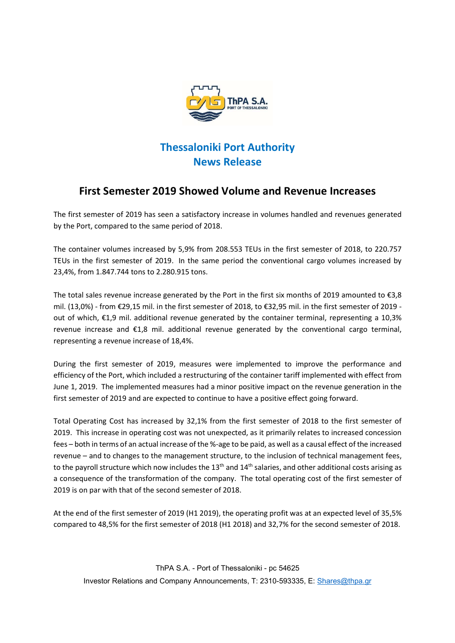

## Thessaloniki Port Authority News Release

## First Semester 2019 Showed Volume and Revenue Increases

The first semester of 2019 has seen a satisfactory increase in volumes handled and revenues generated by the Port, compared to the same period of 2018.

The container volumes increased by 5,9% from 208.553 TEUs in the first semester of 2018, to 220.757 TEUs in the first semester of 2019. In the same period the conventional cargo volumes increased by 23,4%, from 1.847.744 tons to 2.280.915 tons.

The total sales revenue increase generated by the Port in the first six months of 2019 amounted to  $\epsilon$ 3,8 mil. (13,0%) - from €29,15 mil. in the first semester of 2018, to €32,95 mil. in the first semester of 2019 out of which, €1,9 mil. additional revenue generated by the container terminal, representing a 10,3% revenue increase and €1,8 mil. additional revenue generated by the conventional cargo terminal, representing a revenue increase of 18,4%.

During the first semester of 2019, measures were implemented to improve the performance and efficiency of the Port, which included a restructuring of the container tariff implemented with effect from June 1, 2019. The implemented measures had a minor positive impact on the revenue generation in the first semester of 2019 and are expected to continue to have a positive effect going forward.

Total Operating Cost has increased by 32,1% from the first semester of 2018 to the first semester of 2019. This increase in operating cost was not unexpected, as it primarily relates to increased concession fees – both in terms of an actual increase of the %-age to be paid, as well as a causal effect of the increased revenue – and to changes to the management structure, to the inclusion of technical management fees, to the payroll structure which now includes the 13<sup>th</sup> and 14<sup>th</sup> salaries, and other additional costs arising as a consequence of the transformation of the company. The total operating cost of the first semester of 2019 is on par with that of the second semester of 2018.

At the end of the first semester of 2019 (H1 2019), the operating profit was at an expected level of 35,5% compared to 48,5% for the first semester of 2018 (H1 2018) and 32,7% for the second semester of 2018.